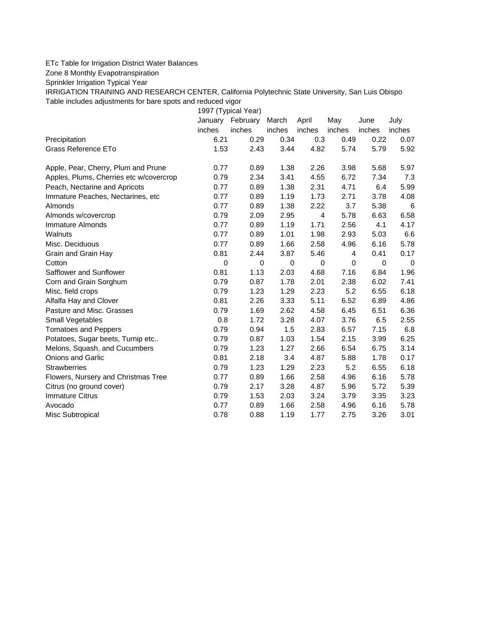## ETc Table for Irrigation District Water Balances

Zone 8 Monthly Evapotranspiration

Sprinkler Irrigation Typical Year

IRRIGATION TRAINING AND RESEARCH CENTER, California Polytechnic State University, San Luis Obispo Table includes adjustments for bare spots and reduced vigor

1997 (Typical Year) January February March April May June July inches inches inches inches inches inches inches Precipitation 6.21 0.29 0.34 0.3 0.49 0.22 0.07 Grass Reference ETo **1.53** 2.43 3.44 4.82 5.74 5.79 5.92 Apple, Pear, Cherry, Plum and Prune  $0.77$   $0.89$   $1.38$   $2.26$   $3.98$   $5.68$   $5.97$ Apples, Plums, Cherries etc w/covercrop 0.79 2.34 3.41 4.55 6.72 7.34 7.3 Peach, Nectarine and Apricots 0.77 0.89 1.38 2.31 4.71 6.4 5.99 Immature Peaches, Nectarines, etc 0.77 0.89 1.19 1.73 2.71 3.78 4.08 Almonds 0.77 0.89 1.38 2.22 3.7 5.38 6 Almonds w/covercrop 0.79 2.09 2.95 4 5.78 6.63 6.58 Immature Almonds 0.77 0.89 1.19 1.71 2.56 4.1 4.17 Walnuts 0.77 0.89 1.01 1.98 2.93 5.03 6.6 Misc. Deciduous 0.77 0.89 1.66 2.58 4.96 6.16 5.78 Grain and Grain Hay  $0.81$   $0.81$   $2.44$   $3.87$   $5.46$   $4$   $0.41$   $0.17$ Cotton 0 0 0 0 0 0 0 Safflower and Sunflower 0.81 1.13 2.03 4.68 7.16 6.84 1.96 Corn and Grain Sorghum 0.79 0.87 1.78 2.01 2.38 6.02 7.41 Misc. field crops 0.79 1.23 1.29 2.23 5.2 6.55 6.18 Alfalfa Hay and Clover 0.81 2.26 3.33 5.11 6.52 6.89 4.86 Pasture and Misc. Grasses 0.79 1.69 2.62 4.58 6.45 6.51 6.36 Small Vegetables 0.8 1.72 3.28 4.07 3.76 6.5 2.55 Tomatoes and Peppers 0.79 0.94 1.5 2.83 6.57 7.15 6.8 Potatoes, Sugar beets, Turnip etc.. 0.79 0.87 1.03 1.54 2.15 3.99 6.25 Melons, Squash, and Cucumbers 0.79 1.23 1.27 2.66 6.54 6.75 3.14 Onions and Garlic 0.81 2.18 3.4 4.87 5.88 1.78 0.17 Strawberries 0.79 1.23 1.29 2.23 5.2 6.55 6.18 Flowers, Nursery and Christmas Tree 0.77 0.89 1.66 2.58 4.96 6.16 5.78 Citrus (no ground cover) 0.79 2.17 3.28 4.87 5.96 5.72 5.39 Immature Citrus 0.79 1.53 2.03 3.24 3.79 3.35 3.23 Avocado 0.77 0.89 1.66 2.58 4.96 6.16 5.78 Misc Subtropical 0.78 0.88 1.19 1.77 2.75 3.26 3.01